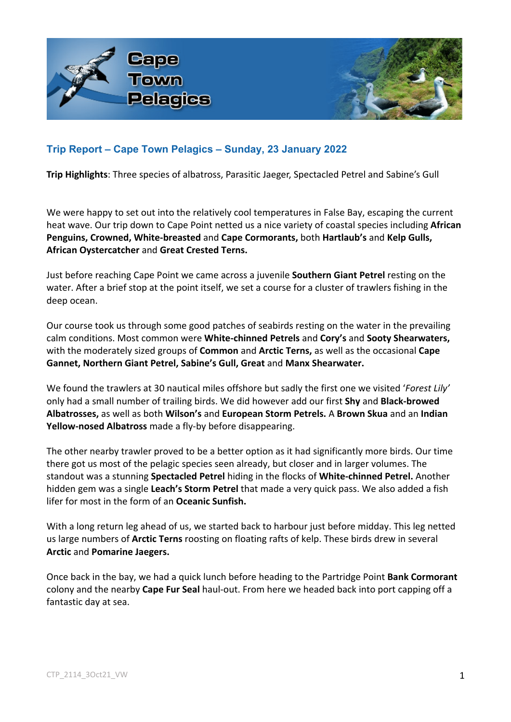

# **Trip Report – Cape Town Pelagics – Sunday, 23 January 2022**

**Trip Highlights**: Three species of albatross, Parasitic Jaeger, Spectacled Petrel and Sabine's Gull

We were happy to set out into the relatively cool temperatures in False Bay, escaping the current heat wave. Our trip down to Cape Point netted us a nice variety of coastal species including **African Penguins, Crowned, White-breasted** and **Cape Cormorants,** both **Hartlaub's** and **Kelp Gulls, African Oystercatcher** and **Great Crested Terns.**

Just before reaching Cape Point we came across a juvenile **Southern Giant Petrel** resting on the water. After a brief stop at the point itself, we set a course for a cluster of trawlers fishing in the deep ocean.

Our course took us through some good patches of seabirds resting on the water in the prevailing calm conditions. Most common were **White-chinned Petrels** and **Cory's** and **Sooty Shearwaters,**  with the moderately sized groups of **Common** and **Arctic Terns,** as well as the occasional **Cape Gannet, Northern Giant Petrel, Sabine's Gull, Great** and **Manx Shearwater.**

We found the trawlers at 30 nautical miles offshore but sadly the first one we visited '*Forest Lily'* only had a small number of trailing birds. We did however add our first **Shy** and **Black-browed Albatrosses,** as well as both **Wilson's** and **European Storm Petrels.** A **Brown Skua** and an **Indian Yellow-nosed Albatross** made a fly-by before disappearing.

The other nearby trawler proved to be a better option as it had significantly more birds. Our time there got us most of the pelagic species seen already, but closer and in larger volumes. The standout was a stunning **Spectacled Petrel** hiding in the flocks of **White-chinned Petrel.** Another hidden gem was a single **Leach's Storm Petrel** that made a very quick pass. We also added a fish lifer for most in the form of an **Oceanic Sunfish.**

With a long return leg ahead of us, we started back to harbour just before midday. This leg netted us large numbers of **Arctic Terns** roosting on floating rafts of kelp. These birds drew in several **Arctic** and **Pomarine Jaegers.**

Once back in the bay, we had a quick lunch before heading to the Partridge Point **Bank Cormorant**  colony and the nearby **Cape Fur Seal** haul-out. From here we headed back into port capping off a fantastic day at sea.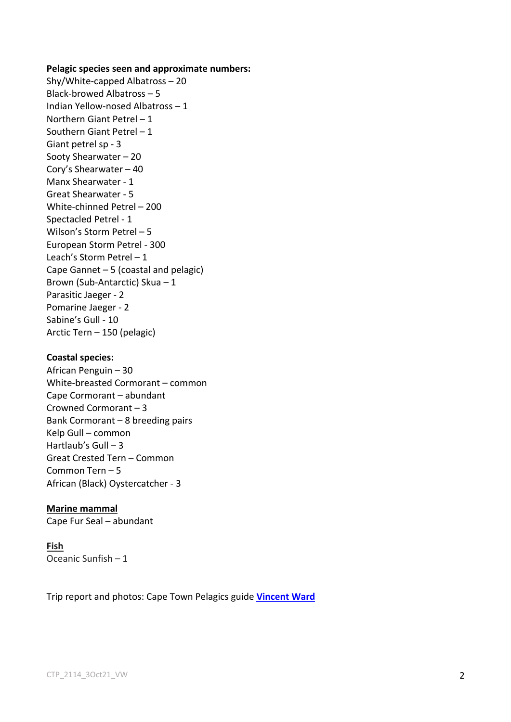### **Pelagic species seen and approximate numbers:**

Shy/White-capped Albatross – 20 Black-browed Albatross – 5 Indian Yellow-nosed Albatross – 1 Northern Giant Petrel – 1 Southern Giant Petrel – 1 Giant petrel sp - 3 Sooty Shearwater – 20 Cory's Shearwater – 40 Manx Shearwater - 1 Great Shearwater - 5 White-chinned Petrel – 200 Spectacled Petrel - 1 Wilson's Storm Petrel – 5 European Storm Petrel - 300 Leach's Storm Petrel – 1 Cape Gannet – 5 (coastal and pelagic) Brown (Sub-Antarctic) Skua – 1 Parasitic Jaeger - 2 Pomarine Jaeger - 2 Sabine's Gull - 10 Arctic Tern – 150 (pelagic)

### **Coastal species:**

African Penguin – 30 White-breasted Cormorant – common Cape Cormorant – abundant Crowned Cormorant – 3 Bank Cormorant – 8 breeding pairs Kelp Gull – common Hartlaub's  $Gull - 3$ Great Crested Tern – Common Common Tern – 5 African (Black) Oystercatcher - 3

#### **Marine mammal**

Cape Fur Seal – abundant

## **Fish** Oceanic Sunfish – 1

Trip report and photos: Cape Town Pelagics guide **Vincent Ward**